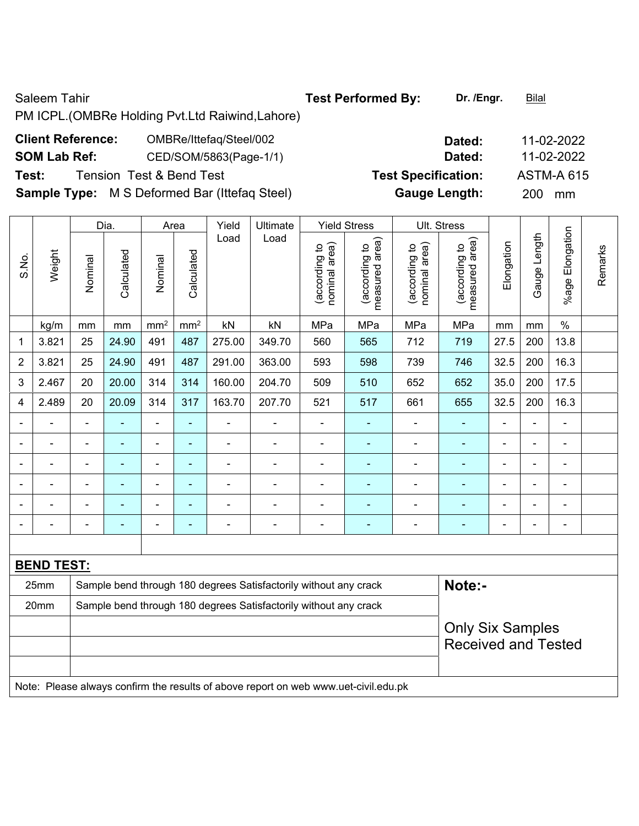Saleem Tahir **Test Performed By:** Dr. /Engr. **Bilal** 

PM ICPL.(OMBRe Holding Pvt.Ltd Raiwind,Lahore)

# **Client Reference:** OMBRe/Ittefaq/Steel/002 **Dated:** 11-02-2022

**Sample Type:** M S Deformed Bar (Ittefaq Steel) **Gauge Length:** 200 mm

|                          |                                                                                     |                          | Dia.                                                             | Area            |                 | Yield          | Ultimate                                                         |                                | <b>Yield Stress</b>             |                                | Ult. Stress                        |                |                |                          |         |
|--------------------------|-------------------------------------------------------------------------------------|--------------------------|------------------------------------------------------------------|-----------------|-----------------|----------------|------------------------------------------------------------------|--------------------------------|---------------------------------|--------------------------------|------------------------------------|----------------|----------------|--------------------------|---------|
| S.No.                    | Weight                                                                              | Nominal                  | Calculated                                                       | Nominal         | Calculated      | Load           | Load                                                             | nominal area)<br>(according to | measured area)<br>(according to | nominal area)<br>(according to | area)<br>(according to<br>measured | Elongation     | Gauge Length   | %age Elongation          | Remarks |
|                          | kg/m                                                                                | mm                       | mm                                                               | mm <sup>2</sup> | mm <sup>2</sup> | kN             | kN                                                               | MPa                            | MPa                             | MPa                            | MPa                                | mm             | mm             | $\%$                     |         |
| 1                        | 3.821                                                                               | 25                       | 24.90                                                            | 491             | 487             | 275.00         | 349.70                                                           | 560                            | 565                             | 712                            | 719                                | 27.5           | 200            | 13.8                     |         |
| 2                        | 3.821                                                                               | 25                       | 24.90                                                            | 491             | 487             | 291.00         | 363.00                                                           | 593                            | 598                             | 739                            | 746                                | 32.5           | 200            | 16.3                     |         |
| 3                        | 2.467                                                                               | 20                       | 20.00                                                            | 314             | 314             | 160.00         | 204.70                                                           | 509                            | 510                             | 652                            | 652                                | 35.0           | 200            | 17.5                     |         |
| 4                        | 2.489                                                                               | 20                       | 20.09                                                            | 314             | 317             | 163.70         | 207.70                                                           | 521                            | 517                             | 661                            | 655                                | 32.5           | 200            | 16.3                     |         |
|                          | $\blacksquare$                                                                      | $\overline{\phantom{a}}$ | ä,                                                               | $\blacksquare$  | $\blacksquare$  | $\blacksquare$ | $\blacksquare$                                                   | $\blacksquare$                 | $\blacksquare$                  | ä,                             | $\blacksquare$                     | $\blacksquare$ | $\blacksquare$ | $\blacksquare$           |         |
|                          | $\blacksquare$                                                                      | $\blacksquare$           | ä,                                                               | ÷,              | $\blacksquare$  | $\blacksquare$ | $\blacksquare$                                                   | ÷,                             | $\blacksquare$                  | $\blacksquare$                 | $\blacksquare$                     | $\blacksquare$ | $\blacksquare$ | ÷,                       |         |
|                          |                                                                                     |                          | ÷                                                                | $\blacksquare$  | ÷               | ÷              | $\blacksquare$                                                   | L,                             | $\blacksquare$                  |                                | $\blacksquare$                     | $\blacksquare$ |                | $\blacksquare$           |         |
|                          |                                                                                     |                          |                                                                  |                 |                 |                |                                                                  |                                |                                 |                                |                                    |                |                |                          |         |
|                          |                                                                                     |                          |                                                                  |                 |                 | -              |                                                                  | ÷                              | $\blacksquare$                  |                                |                                    |                |                | $\overline{\phantom{0}}$ |         |
| $\overline{\phantom{0}}$ |                                                                                     |                          | ÷                                                                | ۰               |                 | -              | $\overline{a}$                                                   | -                              | ٠                               | ۰                              | ٠                                  | $\overline{a}$ | $\blacksquare$ | $\blacksquare$           |         |
|                          |                                                                                     |                          |                                                                  |                 |                 |                |                                                                  |                                |                                 |                                |                                    |                |                |                          |         |
|                          | <b>BEND TEST:</b>                                                                   |                          |                                                                  |                 |                 |                |                                                                  |                                |                                 |                                |                                    |                |                |                          |         |
|                          | 25mm                                                                                |                          |                                                                  |                 |                 |                | Sample bend through 180 degrees Satisfactorily without any crack |                                |                                 |                                | Note:-                             |                |                |                          |         |
|                          | 20mm                                                                                |                          | Sample bend through 180 degrees Satisfactorily without any crack |                 |                 |                |                                                                  |                                |                                 |                                |                                    |                |                |                          |         |
|                          |                                                                                     |                          |                                                                  |                 |                 |                |                                                                  |                                |                                 |                                | <b>Only Six Samples</b>            |                |                |                          |         |
|                          |                                                                                     |                          |                                                                  |                 |                 |                |                                                                  |                                |                                 |                                | <b>Received and Tested</b>         |                |                |                          |         |
|                          |                                                                                     |                          |                                                                  |                 |                 |                |                                                                  |                                |                                 |                                |                                    |                |                |                          |         |
|                          | Note: Please always confirm the results of above report on web www.uet-civil.edu.pk |                          |                                                                  |                 |                 |                |                                                                  |                                |                                 |                                |                                    |                |                |                          |         |

- **SOM Lab Ref:** CED/SOM/5863(Page-1/1) **Dated:** 11-02-2022 **Test:** Tension Test & Bend Test **Test Specification:** ASTM-A 615
-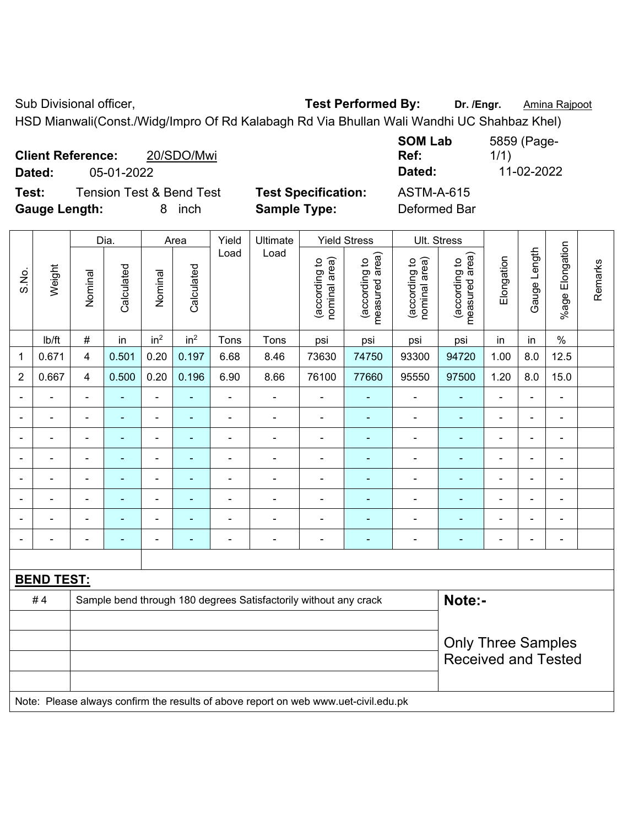Sub Divisional officer, **Test Performed By:** Dr. /Engr. **Amina Rajpoot Capacity** 

HSD Mianwali(Const./Widg/Impro Of Rd Kalabagh Rd Via Bhullan Wali Wandhi UC Shahbaz Khel)

| <b>Client Reference:</b> |            | 20/SDO/Mwi                          |                            | <b>SOM Lab</b><br>Ref: | 5859 (Page-<br>1/1) |
|--------------------------|------------|-------------------------------------|----------------------------|------------------------|---------------------|
| Dated:                   | 05-01-2022 |                                     |                            | Dated:                 | 11-02-2022          |
| Test:                    |            | <b>Tension Test &amp; Bend Test</b> | <b>Test Specification:</b> | <b>ASTM-A-615</b>      |                     |
| <b>Gauge Length:</b>     |            | inch<br>8.                          | <b>Sample Type:</b>        | Deformed Bar           |                     |

|                |                                                                                     |                | Dia.           |                              | Area            | Yield          | Ultimate                                                         |                                | <b>Yield Stress</b>             |                                | Ult. Stress                     |                |                          |                 |         |
|----------------|-------------------------------------------------------------------------------------|----------------|----------------|------------------------------|-----------------|----------------|------------------------------------------------------------------|--------------------------------|---------------------------------|--------------------------------|---------------------------------|----------------|--------------------------|-----------------|---------|
| S.No.          | Weight                                                                              | Nominal        | Calculated     | Nominal                      | Calculated      | Load           | Load                                                             | (according to<br>nominal area) | (according to<br>measured area) | (according to<br>nominal area) | measured area)<br>(according to | Elongation     | Gauge Length             | %age Elongation | Remarks |
|                | lb/ft                                                                               | $\#$           | in             | in <sup>2</sup>              | in <sup>2</sup> | Tons           | Tons                                                             | psi                            | psi                             | psi                            | psi                             | in             | in                       | $\frac{0}{0}$   |         |
| $\mathbf{1}$   | 0.671                                                                               | 4              | 0.501          | 0.20                         | 0.197           | 6.68           | 8.46                                                             | 73630                          | 74750                           | 93300                          | 94720                           | 1.00           | 8.0                      | 12.5            |         |
| $\overline{2}$ | 0.667                                                                               | $\overline{4}$ | 0.500          | 0.20                         | 0.196           | 6.90           | 8.66                                                             | 76100                          | 77660                           | 95550                          | 97500                           | 1.20           | 8.0                      | 15.0            |         |
|                |                                                                                     |                |                |                              |                 |                |                                                                  |                                |                                 |                                |                                 |                |                          | ä,              |         |
| $\blacksquare$ | $\blacksquare$                                                                      | ä,             | ÷              | $\qquad \qquad \blacksquare$ | ÷               | $\blacksquare$ | $\frac{1}{2}$                                                    | $\blacksquare$                 | $\qquad \qquad \blacksquare$    | $\overline{\phantom{a}}$       | $\frac{1}{2}$                   | $\blacksquare$ | $\blacksquare$           | $\blacksquare$  |         |
| $\blacksquare$ |                                                                                     | $\blacksquare$ | ÷              | ÷                            | ٠               | $\blacksquare$ | $\blacksquare$                                                   | $\overline{\phantom{a}}$       | $\blacksquare$                  | $\overline{\phantom{a}}$       | ٠                               | $\blacksquare$ | $\blacksquare$           | $\blacksquare$  |         |
|                |                                                                                     | $\blacksquare$ | $\blacksquare$ | $\overline{\phantom{a}}$     |                 | ÷              | $\blacksquare$                                                   | $\blacksquare$                 | $\blacksquare$                  | $\blacksquare$                 | ä,                              |                | $\overline{\phantom{a}}$ | $\blacksquare$  |         |
|                | $\blacksquare$                                                                      | L,             | $\blacksquare$ | ÷,                           | ÷               | $\blacksquare$ | $\overline{\phantom{a}}$                                         | $\blacksquare$                 | ÷                               | ÷,                             | $\blacksquare$                  | $\blacksquare$ | $\blacksquare$           | $\blacksquare$  |         |
|                |                                                                                     | L,             |                | $\blacksquare$               |                 |                | $\blacksquare$                                                   | $\blacksquare$                 | Ē.                              | ۰                              |                                 |                |                          | $\blacksquare$  |         |
|                |                                                                                     |                |                |                              |                 |                |                                                                  |                                |                                 |                                |                                 |                |                          |                 |         |
|                |                                                                                     | $\blacksquare$ | $\blacksquare$ | ۰                            | $\blacksquare$  | $\blacksquare$ | $\blacksquare$                                                   | $\blacksquare$                 | ۰                               | $\blacksquare$                 | $\blacksquare$                  | ۰              | $\blacksquare$           | $\blacksquare$  |         |
|                |                                                                                     |                |                |                              |                 |                |                                                                  |                                |                                 |                                |                                 |                |                          |                 |         |
|                | <b>BEND TEST:</b>                                                                   |                |                |                              |                 |                |                                                                  |                                |                                 |                                |                                 |                |                          |                 |         |
|                | #4                                                                                  |                |                |                              |                 |                | Sample bend through 180 degrees Satisfactorily without any crack |                                |                                 |                                | Note:-                          |                |                          |                 |         |
|                |                                                                                     |                |                |                              |                 |                |                                                                  |                                |                                 |                                |                                 |                |                          |                 |         |
|                |                                                                                     |                |                |                              |                 |                |                                                                  |                                |                                 |                                | <b>Only Three Samples</b>       |                |                          |                 |         |
|                |                                                                                     |                |                |                              |                 |                |                                                                  |                                |                                 |                                | <b>Received and Tested</b>      |                |                          |                 |         |
|                |                                                                                     |                |                |                              |                 |                |                                                                  |                                |                                 |                                |                                 |                |                          |                 |         |
|                | Note: Please always confirm the results of above report on web www.uet-civil.edu.pk |                |                |                              |                 |                |                                                                  |                                |                                 |                                |                                 |                |                          |                 |         |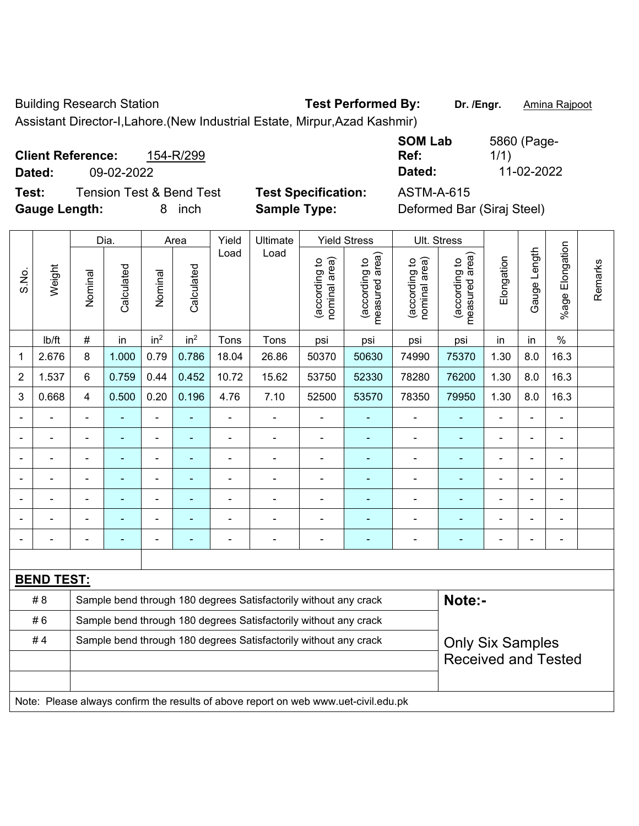Building Research Station **Test Performed By: Dr. /Engr.** Amina Rajpoot

Assistant Director-I,Lahore.(New Industrial Estate, Mirpur,Azad Kashmir)

|        | 154-R/299<br><b>Client Reference:</b> |                            | <b>SUM LAD</b><br>Ref: |
|--------|---------------------------------------|----------------------------|------------------------|
| Dated: | 09-02-2022                            |                            | Dated:                 |
| Test:  | <b>Tension Test &amp; Bend Test</b>   | <b>Test Specification:</b> | ASTM-A-615             |

Gauge Length: 8 inch Sample Type:

**SOM Lab**  5860 (Page-1/1) **Dated:** 09-02-2022 **Dated:** 11-02-2022

| Deformed Bar (Siraj Steel) |  |  |
|----------------------------|--|--|
|----------------------------|--|--|

|                |                                                                                     |                                                                                             | Dia.                                                             | <b>Yield Stress</b><br>Yield<br>Ultimate<br>Area |                 |                |                                                                  |                                | Ult. Stress                     |                                |                                 |                |                |                           |         |
|----------------|-------------------------------------------------------------------------------------|---------------------------------------------------------------------------------------------|------------------------------------------------------------------|--------------------------------------------------|-----------------|----------------|------------------------------------------------------------------|--------------------------------|---------------------------------|--------------------------------|---------------------------------|----------------|----------------|---------------------------|---------|
| S.No.          | Weight                                                                              | Nominal                                                                                     | Calculated                                                       | Nominal                                          | Calculated      | Load           | Load                                                             | nominal area)<br>(according to | (according to<br>measured area) | nominal area)<br>(according to | (according to<br>measured area) | Elongation     | Gauge Length   | Elongation<br>$%$ age $ $ | Remarks |
|                | lb/ft                                                                               | $\#$                                                                                        | in                                                               | in <sup>2</sup>                                  | in <sup>2</sup> | Tons           | Tons                                                             | psi                            | psi                             | psi                            | psi                             | in             | in             | $\%$                      |         |
| 1              | 2.676                                                                               | 8                                                                                           | 1.000                                                            | 0.79                                             | 0.786           | 18.04          | 26.86                                                            | 50370                          | 50630                           | 74990                          | 75370                           | 1.30           | 8.0            | 16.3                      |         |
| $\overline{2}$ | 1.537                                                                               | 6                                                                                           | 0.759                                                            | 0.44                                             | 0.452           | 10.72          | 15.62                                                            | 53750                          | 52330                           | 78280                          | 76200                           | 1.30           | 8.0            | 16.3                      |         |
| 3              | 0.668                                                                               | 4                                                                                           | 0.500                                                            | 0.20                                             | 0.196           | 4.76           | 7.10                                                             | 52500                          | 53570                           | 78350                          | 79950                           | 1.30           | 8.0            | 16.3                      |         |
|                |                                                                                     | $\blacksquare$                                                                              | ä,                                                               | ä,                                               | ä,              | ä,             | ä,                                                               | $\blacksquare$                 | $\blacksquare$                  | ÷,                             | ä,                              | $\blacksquare$ | L,             | $\blacksquare$            |         |
|                |                                                                                     | $\blacksquare$                                                                              | $\blacksquare$                                                   | $\blacksquare$                                   | ÷               | $\blacksquare$ | $\overline{\phantom{a}}$                                         | $\blacksquare$                 | ٠                               | $\blacksquare$                 | $\blacksquare$                  | $\overline{a}$ | L,             | $\overline{\phantom{a}}$  |         |
|                |                                                                                     | $\blacksquare$                                                                              | $\blacksquare$                                                   | $\blacksquare$                                   | ۰               |                | $\blacksquare$                                                   | $\blacksquare$                 | $\blacksquare$                  | $\blacksquare$                 | $\blacksquare$                  | $\overline{a}$ | L,             | $\blacksquare$            |         |
| ۰              | $\blacksquare$                                                                      | $\blacksquare$                                                                              | $\blacksquare$                                                   | $\blacksquare$                                   | ۰               | $\blacksquare$ | $\blacksquare$                                                   | $\blacksquare$                 | $\blacksquare$                  | $\blacksquare$                 | ٠                               | $\blacksquare$ | ÷              | $\blacksquare$            |         |
|                |                                                                                     | Ē,                                                                                          |                                                                  | $\blacksquare$                                   |                 |                |                                                                  |                                |                                 |                                | Ē,                              |                |                | L,                        |         |
|                |                                                                                     |                                                                                             |                                                                  |                                                  |                 |                |                                                                  |                                |                                 |                                |                                 |                |                |                           |         |
|                |                                                                                     | $\blacksquare$                                                                              | $\blacksquare$                                                   |                                                  | $\blacksquare$  |                | $\blacksquare$                                                   | $\overline{\phantom{0}}$       |                                 | $\overline{\phantom{0}}$       | $\overline{\phantom{0}}$        | $\blacksquare$ | $\blacksquare$ | $\blacksquare$            |         |
|                |                                                                                     |                                                                                             |                                                                  |                                                  |                 |                |                                                                  |                                |                                 |                                |                                 |                |                |                           |         |
|                | <b>BEND TEST:</b>                                                                   |                                                                                             |                                                                  |                                                  |                 |                |                                                                  |                                |                                 |                                |                                 |                |                |                           |         |
|                | #8                                                                                  |                                                                                             |                                                                  |                                                  |                 |                | Sample bend through 180 degrees Satisfactorily without any crack |                                |                                 |                                | Note:-                          |                |                |                           |         |
|                | #6                                                                                  |                                                                                             | Sample bend through 180 degrees Satisfactorily without any crack |                                                  |                 |                |                                                                  |                                |                                 |                                |                                 |                |                |                           |         |
|                | #4                                                                                  | Sample bend through 180 degrees Satisfactorily without any crack<br><b>Only Six Samples</b> |                                                                  |                                                  |                 |                |                                                                  |                                |                                 |                                |                                 |                |                |                           |         |
|                |                                                                                     |                                                                                             |                                                                  |                                                  |                 |                |                                                                  |                                |                                 |                                | <b>Received and Tested</b>      |                |                |                           |         |
|                |                                                                                     |                                                                                             |                                                                  |                                                  |                 |                |                                                                  |                                |                                 |                                |                                 |                |                |                           |         |
|                | Note: Please always confirm the results of above report on web www.uet-civil.edu.pk |                                                                                             |                                                                  |                                                  |                 |                |                                                                  |                                |                                 |                                |                                 |                |                |                           |         |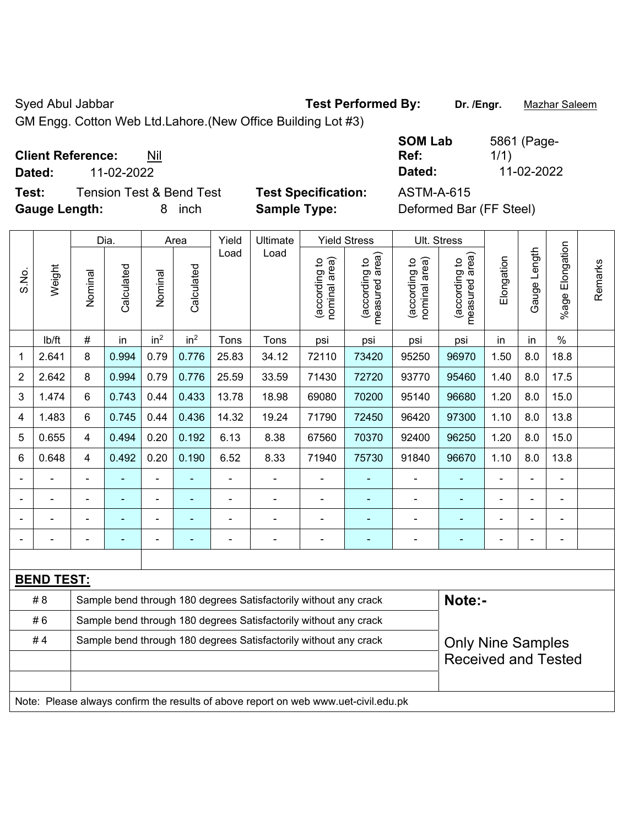Syed Abul Jabbar **Test Performed By:** Dr. /Engr. **Mazhar Saleem** 

GM Engg. Cotton Web Ltd.Lahore.(New Office Building Lot #3)

**Client Reference:** Nil

**Test:** Tension Test & Bend Test **Test Specification:** ASTM-A-615 **Gauge Length:** 8 inch **Sample Type:** Deformed Bar (FF Steel)

**SOM Lab Ref:**  5861 (Page-1/1) **Dated:** 11-02-2022 **Dated:** 11-02-2022

|                |                                                                                     |                         | Dia.                                                             |                 | Area            | Yield          | Ultimate                                                         |                                | <b>Yield Stress</b>             |                                | Ult. Stress                     |            |              |                    |         |
|----------------|-------------------------------------------------------------------------------------|-------------------------|------------------------------------------------------------------|-----------------|-----------------|----------------|------------------------------------------------------------------|--------------------------------|---------------------------------|--------------------------------|---------------------------------|------------|--------------|--------------------|---------|
| S.No.          | Weight                                                                              | Nominal                 | Calculated                                                       | Nominal         | Calculated      | Load           | Load                                                             | nominal area)<br>(according to | (according to<br>measured area) | (according to<br>nominal area) | (according to<br>measured area) | Elongation | Gauge Length | Elongation<br>%age | Remarks |
|                | lb/ft                                                                               | $\#$                    | in                                                               | in <sup>2</sup> | in <sup>2</sup> | Tons           | Tons                                                             | psi                            | psi                             | psi                            | psi                             | in         | in           | $\frac{0}{0}$      |         |
| 1              | 2.641                                                                               | 8                       | 0.994                                                            | 0.79            | 0.776           | 25.83          | 34.12                                                            | 72110                          | 73420                           | 95250                          | 96970                           | 1.50       | 8.0          | 18.8               |         |
| $\overline{2}$ | 2.642                                                                               | 8                       | 0.994                                                            | 0.79            | 0.776           | 25.59          | 33.59                                                            | 71430                          | 72720                           | 93770                          | 95460                           | 1.40       | 8.0          | 17.5               |         |
| 3              | 1.474                                                                               | 6                       | 0.743                                                            | 0.44            | 0.433           | 13.78          | 18.98                                                            | 69080                          | 70200                           | 95140                          | 96680                           | 1.20       | 8.0          | 15.0               |         |
| 4              | 1.483                                                                               | 6                       | 0.745                                                            | 0.44            | 0.436           | 14.32          | 19.24                                                            | 71790                          | 72450                           | 96420                          | 97300                           | 1.10       | 8.0          | 13.8               |         |
| 5              | 0.655                                                                               | $\overline{\mathbf{4}}$ | 0.494                                                            | 0.20            | 0.192           | 6.13           | 8.38                                                             | 67560                          | 70370                           | 92400                          | 96250                           | 1.20       | 8.0          | 15.0               |         |
| 6              | 0.648                                                                               | $\overline{\mathbf{4}}$ | 0.492                                                            | 0.20            | 0.190           | 6.52           | 8.33                                                             | 71940                          | 75730                           | 91840                          | 96670                           | 1.10       | 8.0          | 13.8               |         |
|                |                                                                                     |                         |                                                                  | ÷,              |                 | ä,             | ä,                                                               |                                |                                 | ÷,                             |                                 |            |              | ä,                 |         |
|                |                                                                                     |                         |                                                                  | $\blacksquare$  |                 | $\blacksquare$ | ä,                                                               |                                |                                 |                                |                                 |            |              | $\blacksquare$     |         |
|                |                                                                                     |                         |                                                                  | -               |                 |                | $\overline{\phantom{0}}$                                         |                                |                                 | $\blacksquare$                 | $\blacksquare$                  |            |              | $\blacksquare$     |         |
|                |                                                                                     |                         | $\blacksquare$                                                   | -               | ۰               | Ē,             | $\overline{a}$                                                   |                                | $\overline{\phantom{0}}$        | ÷                              |                                 |            |              | $\blacksquare$     |         |
|                |                                                                                     |                         |                                                                  |                 |                 |                |                                                                  |                                |                                 |                                |                                 |            |              |                    |         |
|                | <b>BEND TEST:</b>                                                                   |                         |                                                                  |                 |                 |                |                                                                  |                                |                                 |                                |                                 |            |              |                    |         |
|                | #8                                                                                  |                         |                                                                  |                 |                 |                | Sample bend through 180 degrees Satisfactorily without any crack |                                |                                 |                                | Note:-                          |            |              |                    |         |
|                | #6                                                                                  |                         | Sample bend through 180 degrees Satisfactorily without any crack |                 |                 |                |                                                                  |                                |                                 |                                |                                 |            |              |                    |         |
|                | #4                                                                                  |                         |                                                                  |                 |                 |                | Sample bend through 180 degrees Satisfactorily without any crack |                                |                                 |                                | <b>Only Nine Samples</b>        |            |              |                    |         |
|                |                                                                                     |                         |                                                                  |                 |                 |                |                                                                  |                                |                                 |                                | <b>Received and Tested</b>      |            |              |                    |         |
|                |                                                                                     |                         |                                                                  |                 |                 |                |                                                                  |                                |                                 |                                |                                 |            |              |                    |         |
|                | Note: Please always confirm the results of above report on web www.uet-civil.edu.pk |                         |                                                                  |                 |                 |                |                                                                  |                                |                                 |                                |                                 |            |              |                    |         |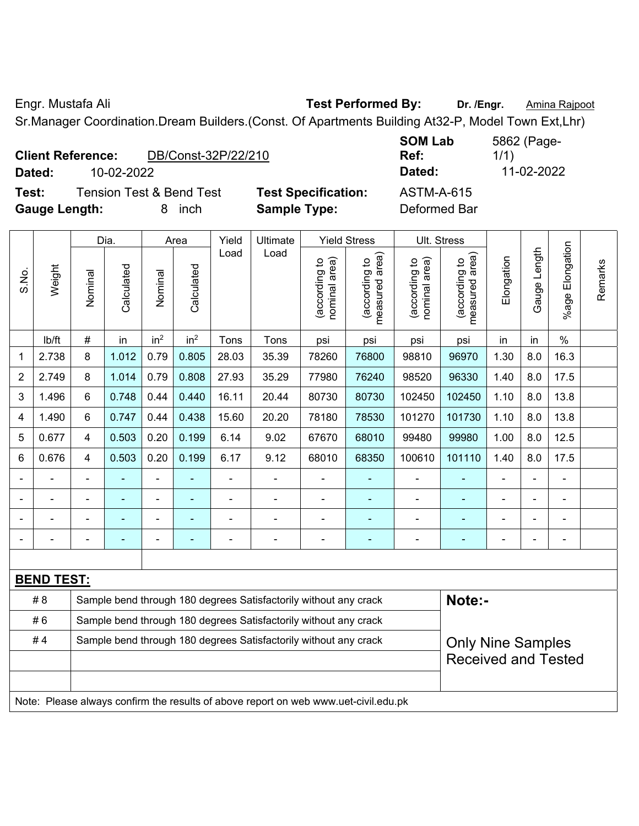Engr. Mustafa Ali **Test Performed By: Dr. /Engr.** Amina Rajpoot

Sr.Manager Coordination.Dream Builders.(Const. Of Apartments Building At32-P, Model Town Ext,Lhr)

|                      | <b>Client Reference:</b> | DB/Const-32P/22/210                 |                            | <b>JUIVI LAN</b><br>Ref: |
|----------------------|--------------------------|-------------------------------------|----------------------------|--------------------------|
| Dated:               | 10-02-2022               |                                     |                            | Dated:                   |
| Test:                |                          | <b>Tension Test &amp; Bend Test</b> | <b>Test Specification:</b> | <b>ASTM-A-615</b>        |
| <b>Gauge Length:</b> |                          | inch                                | <b>Sample Type:</b>        | Deformed Bar             |

**SOM Lab**  5862 (Page-1/1) **Dated:** 10-02-2022 **Dated:** 11-02-2022

|                |                                                                                                    |                                                                  | Dia.                     |                          | Area                     | Yield          | Ultimate                                                         |                                | <b>Yield Stress</b>             |                                | Ult. Stress                     |                |                |                              |         |
|----------------|----------------------------------------------------------------------------------------------------|------------------------------------------------------------------|--------------------------|--------------------------|--------------------------|----------------|------------------------------------------------------------------|--------------------------------|---------------------------------|--------------------------------|---------------------------------|----------------|----------------|------------------------------|---------|
| S.No.          | Weight                                                                                             | Nominal                                                          | Calculated               | Nominal                  | Calculated               | Load           | Load                                                             | nominal area)<br>(according to | (according to<br>measured area) | nominal area)<br>(according to | measured area)<br>(according to | Elongation     | Gauge Length   | Elongation<br>%age l         | Remarks |
|                | Ib/ft                                                                                              | #                                                                | in                       | in <sup>2</sup>          | in <sup>2</sup>          | Tons           | Tons                                                             | psi                            | psi                             | psi                            | psi                             | in             | in             | $\%$                         |         |
| 1              | 2.738                                                                                              | 8                                                                | 1.012                    | 0.79                     | 0.805                    | 28.03          | 35.39                                                            | 78260                          | 76800                           | 98810                          | 96970                           | 1.30           | 8.0            | 16.3                         |         |
| 2              | 2.749                                                                                              | 8                                                                | 1.014                    | 0.79                     | 0.808                    | 27.93          | 35.29                                                            | 77980                          | 76240                           | 98520                          | 96330                           | 1.40           | 8.0            | 17.5                         |         |
| 3              | 1.496                                                                                              | $6\phantom{1}$                                                   | 0.748                    | 0.44                     | 0.440                    | 16.11          | 20.44                                                            | 80730                          | 80730                           | 102450                         | 102450                          | 1.10           | 8.0            | 13.8                         |         |
| $\overline{4}$ | 1.490                                                                                              | $6\phantom{1}$                                                   | 0.747                    | 0.44                     | 0.438                    | 15.60          | 20.20                                                            | 78180                          | 78530                           | 101270                         | 101730                          | 1.10           | 8.0            | 13.8                         |         |
| 5              | 0.677                                                                                              | $\overline{4}$                                                   | 0.503                    | 0.20                     | 0.199                    | 6.14           | 9.02                                                             | 67670                          | 68010                           | 99480                          | 99980                           | 1.00           | 8.0            | 12.5                         |         |
| 6              | 0.676                                                                                              | $\overline{4}$                                                   | 0.503                    | 0.20                     | 0.199                    | 6.17           | 9.12                                                             | 68010                          | 68350                           | 100610                         | 101110                          | 1.40           | 8.0            | 17.5                         |         |
|                |                                                                                                    |                                                                  |                          | $\blacksquare$           |                          | $\blacksquare$ | $\blacksquare$                                                   | $\blacksquare$                 |                                 | $\overline{\phantom{a}}$       |                                 | $\blacksquare$ |                | ÷,                           |         |
|                |                                                                                                    |                                                                  |                          | $\overline{\phantom{a}}$ |                          | $\blacksquare$ | $\blacksquare$                                                   | $\blacksquare$                 | $\blacksquare$                  | $\blacksquare$                 | $\blacksquare$                  | $\blacksquare$ | $\blacksquare$ | ۰                            |         |
|                |                                                                                                    |                                                                  | $\overline{\phantom{a}}$ | ä,                       |                          |                | L,                                                               | $\blacksquare$                 | $\overline{\phantom{a}}$        | $\blacksquare$                 | $\blacksquare$                  |                |                | ÷,                           |         |
|                |                                                                                                    |                                                                  | $\blacksquare$           | $\blacksquare$           | $\overline{\phantom{a}}$ |                | ä,                                                               | $\overline{a}$                 | $\blacksquare$                  | $\blacksquare$                 | $\blacksquare$                  | ÷              |                | $\qquad \qquad \blacksquare$ |         |
|                |                                                                                                    |                                                                  |                          |                          |                          |                |                                                                  |                                |                                 |                                |                                 |                |                |                              |         |
|                | <b>BEND TEST:</b>                                                                                  |                                                                  |                          |                          |                          |                |                                                                  |                                |                                 |                                |                                 |                |                |                              |         |
|                | # 8                                                                                                |                                                                  |                          |                          |                          |                | Sample bend through 180 degrees Satisfactorily without any crack |                                |                                 |                                | Note:-                          |                |                |                              |         |
|                | #6                                                                                                 | Sample bend through 180 degrees Satisfactorily without any crack |                          |                          |                          |                |                                                                  |                                |                                 |                                |                                 |                |                |                              |         |
|                | #4<br>Sample bend through 180 degrees Satisfactorily without any crack<br><b>Only Nine Samples</b> |                                                                  |                          |                          |                          |                |                                                                  |                                |                                 |                                |                                 |                |                |                              |         |
|                |                                                                                                    |                                                                  |                          |                          |                          |                |                                                                  |                                |                                 |                                | <b>Received and Tested</b>      |                |                |                              |         |
|                |                                                                                                    |                                                                  |                          |                          |                          |                |                                                                  |                                |                                 |                                |                                 |                |                |                              |         |
|                | Note: Please always confirm the results of above report on web www.uet-civil.edu.pk                |                                                                  |                          |                          |                          |                |                                                                  |                                |                                 |                                |                                 |                |                |                              |         |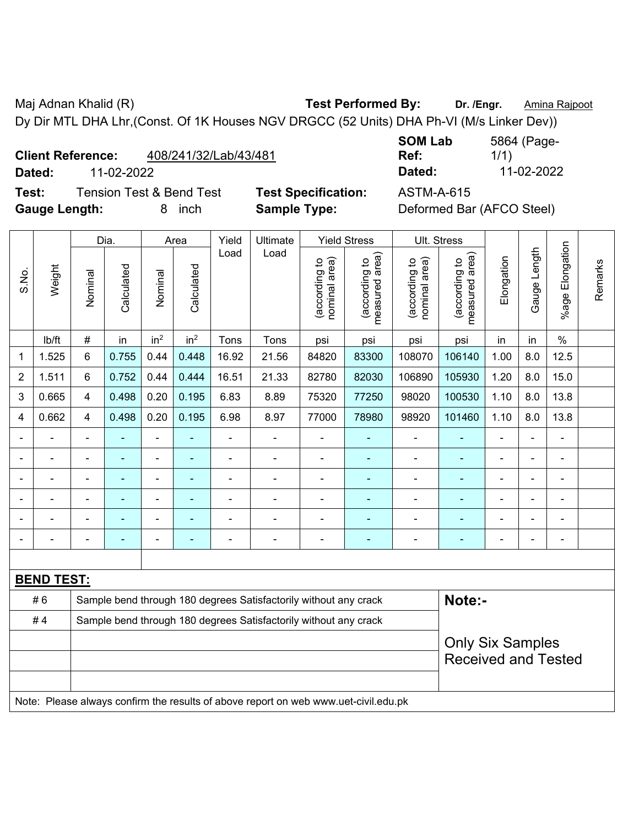Maj Adnan Khalid (R) **Test Performed By: Dr. /Engr.** Amina Rajpoot Dy Dir MTL DHA Lhr,(Const. Of 1K Houses NGV DRGCC (52 Units) DHA Ph-VI (M/s Linker Dev))

**Client Reference:** 408/241/32/Lab/43/481

**Test:** Tension Test & Bend Test **Test Specification:** ASTM-A-615 **Gauge Length:** 8 inch **Sample Type:** Deformed Bar (AFCO Steel)

**SOM Lab Ref:**  5864 (Page-1/1) **Dated:** 11-02-2022 **Dated:** 11-02-2022

|                          |                   |                | Dia.                                                             |                              | Area                     | Yield          | Ultimate                                                                            |                                | <b>Yield Stress</b>                         |                                | Ult. Stress                     |                |                |                       |         |
|--------------------------|-------------------|----------------|------------------------------------------------------------------|------------------------------|--------------------------|----------------|-------------------------------------------------------------------------------------|--------------------------------|---------------------------------------------|--------------------------------|---------------------------------|----------------|----------------|-----------------------|---------|
| S.No.                    | Weight            | Nominal        | Calculated                                                       | Nominal                      | Calculated               | Load           | Load                                                                                | nominal area)<br>(according to | (according to<br>neasured area)<br>measured | nominal area)<br>(according to | measured area)<br>(according to | Elongation     | Gauge Length   | Elongation<br>$%$ age | Remarks |
|                          | lb/ft             | $\#$           | in                                                               | in <sup>2</sup>              | in <sup>2</sup>          | Tons           | Tons                                                                                | psi                            | psi                                         | psi                            | psi                             | in             | in             | $\%$                  |         |
| 1                        | 1.525             | 6              | 0.755                                                            | 0.44                         | 0.448                    | 16.92          | 21.56                                                                               | 84820                          | 83300                                       | 108070                         | 106140                          | 1.00           | 8.0            | 12.5                  |         |
| $\overline{2}$           | 1.511             | 6              | 0.752                                                            | 0.44                         | 0.444                    | 16.51          | 21.33                                                                               | 82780                          | 82030                                       | 106890                         | 105930                          | 1.20           | 8.0            | 15.0                  |         |
| $\mathbf{3}$             | 0.665             | 4              | 0.498                                                            | 0.20                         | 0.195                    | 6.83           | 8.89                                                                                | 75320                          | 77250                                       | 98020                          | 100530                          | 1.10           | 8.0            | 13.8                  |         |
| 4                        | 0.662             | 4              | 0.498                                                            | 0.20                         | 0.195                    | 6.98           | 8.97                                                                                | 77000                          | 78980                                       | 98920                          | 101460                          | 1.10           | 8.0            | 13.8                  |         |
|                          |                   | $\blacksquare$ | ÷                                                                | ÷,                           |                          | $\blacksquare$ | $\frac{1}{2}$                                                                       |                                | ÷                                           | $\blacksquare$                 | $\blacksquare$                  | $\blacksquare$ | ä,             | $\blacksquare$        |         |
|                          | $\blacksquare$    | $\blacksquare$ | ä,                                                               | ÷,                           | $\blacksquare$           | ä,             | $\frac{1}{2}$                                                                       | ä,                             | ٠                                           | $\blacksquare$                 | $\blacksquare$                  | $\overline{a}$ |                | $\blacksquare$        |         |
|                          |                   |                | ۰                                                                | ۰                            | ۰                        | ä,             | $\overline{a}$                                                                      | $\blacksquare$                 | $\blacksquare$                              | $\blacksquare$                 | ä,                              |                |                | $\blacksquare$        |         |
|                          |                   |                |                                                                  | ۰                            |                          |                |                                                                                     |                                | ÷                                           |                                |                                 |                |                |                       |         |
|                          |                   |                |                                                                  | $\blacksquare$               |                          |                | $\blacksquare$                                                                      |                                |                                             |                                | ۳                               |                |                |                       |         |
| $\overline{\phantom{0}}$ |                   |                | $\overline{\phantom{0}}$                                         | $\qquad \qquad \blacksquare$ | $\overline{\phantom{0}}$ | $\blacksquare$ | $\frac{1}{2}$                                                                       | $\blacksquare$                 | $\overline{\phantom{0}}$                    | $\blacksquare$                 | ۳                               | ۰              | $\blacksquare$ | $\blacksquare$        |         |
|                          |                   |                |                                                                  |                              |                          |                |                                                                                     |                                |                                             |                                |                                 |                |                |                       |         |
|                          | <b>BEND TEST:</b> |                |                                                                  |                              |                          |                |                                                                                     |                                |                                             |                                |                                 |                |                |                       |         |
|                          | #6                |                |                                                                  |                              |                          |                | Sample bend through 180 degrees Satisfactorily without any crack                    |                                |                                             |                                | Note:-                          |                |                |                       |         |
|                          | #4                |                | Sample bend through 180 degrees Satisfactorily without any crack |                              |                          |                |                                                                                     |                                |                                             |                                |                                 |                |                |                       |         |
|                          |                   |                |                                                                  |                              |                          |                |                                                                                     |                                |                                             |                                | <b>Only Six Samples</b>         |                |                |                       |         |
|                          |                   |                |                                                                  |                              |                          |                |                                                                                     |                                |                                             |                                | <b>Received and Tested</b>      |                |                |                       |         |
|                          |                   |                |                                                                  |                              |                          |                |                                                                                     |                                |                                             |                                |                                 |                |                |                       |         |
|                          |                   |                |                                                                  |                              |                          |                | Note: Please always confirm the results of above report on web www.uet-civil.edu.pk |                                |                                             |                                |                                 |                |                |                       |         |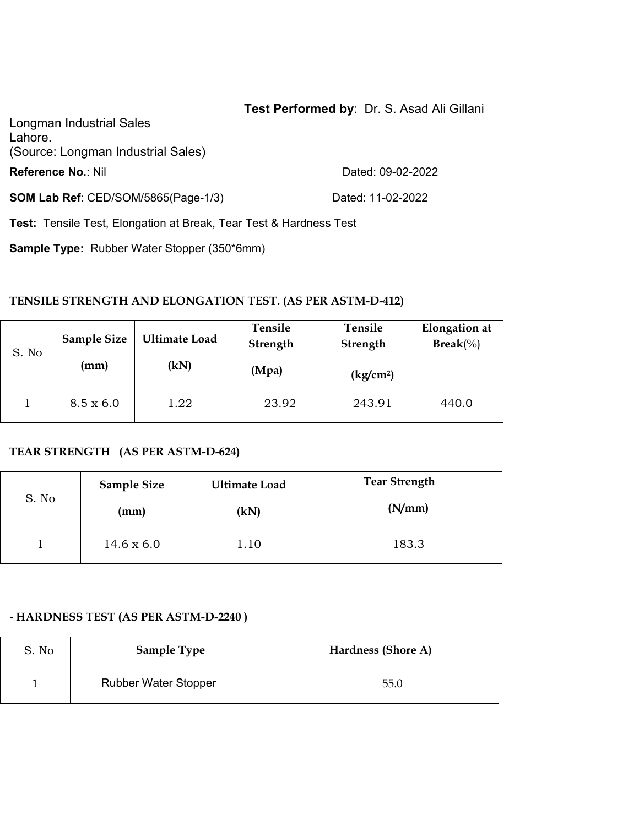## **Test Performed by**: Dr. S. Asad Ali Gillani

Longman Industrial Sales Lahore. (Source: Longman Industrial Sales) **Reference No.: Nil Reference No.: Nil** 2002-2022

**SOM Lab Ref**: CED/SOM/5865(Page-1/3) Dated: 11-02-2022

**Test:** Tensile Test, Elongation at Break, Tear Test & Hardness Test

**Sample Type:** Rubber Water Stopper (350\*6mm)

#### **TENSILE STRENGTH AND ELONGATION TEST. (AS PER ASTM-D-412)**

| S. No | <b>Sample Size</b><br>(mm) | <b>Ultimate Load</b><br>(kN) | Tensile<br>Strength<br>(Mpa) | Tensile<br><b>Strength</b><br>$\frac{\text{kg}}{\text{cm}^2}$ | <b>Elongation</b> at<br>$\text{Break}(\%)$ |
|-------|----------------------------|------------------------------|------------------------------|---------------------------------------------------------------|--------------------------------------------|
|       | $8.5 \times 6.0$           | 1.22                         | 23.92                        | 243.91                                                        | 440.0                                      |

#### **TEAR STRENGTH (AS PER ASTM-D-624)**

| S. No | <b>Sample Size</b> | <b>Ultimate Load</b> | <b>Tear Strength</b> |
|-------|--------------------|----------------------|----------------------|
|       | (mm)               | (kN)                 | (N/mm)               |
|       | $14.6 \times 6.0$  | 1.10                 | 183.3                |

#### **- HARDNESS TEST (AS PER ASTM-D-2240 )**

| S. No | <b>Sample Type</b>          | Hardness (Shore A) |
|-------|-----------------------------|--------------------|
|       | <b>Rubber Water Stopper</b> | 55.0               |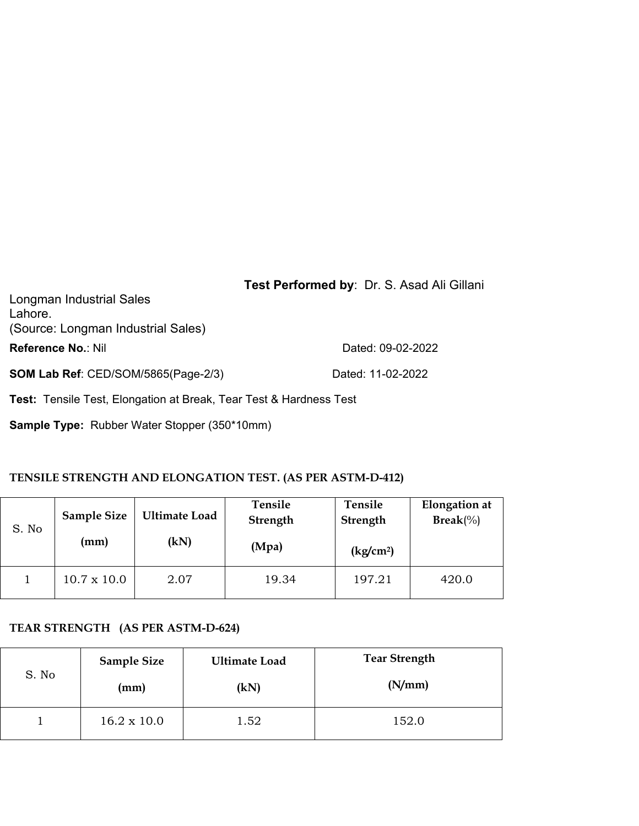| Longman Industrial Sales<br>Lahore.<br>(Source: Longman Industrial Sales) | Test Performed by: Dr. S. Asad Ali Gillani |
|---------------------------------------------------------------------------|--------------------------------------------|
| <b>Reference No.: Nil</b>                                                 | Dated: 09-02-2022                          |
| <b>SOM Lab Ref: CED/SOM/5865(Page-2/3)</b>                                | Dated: 11-02-2022                          |

**Test:** Tensile Test, Elongation at Break, Tear Test & Hardness Test

**Sample Type:** Rubber Water Stopper (350\*10mm)

## **TENSILE STRENGTH AND ELONGATION TEST. (AS PER ASTM-D-412)**

| S. No | <b>Sample Size</b><br>(mm) | <b>Ultimate Load</b><br>(kN) | Tensile<br>Strength<br>(Mpa) | Tensile<br>Strength<br>(kg/cm <sup>2</sup> ) | <b>Elongation</b> at<br>$\text{Break}(\%)$ |  |
|-------|----------------------------|------------------------------|------------------------------|----------------------------------------------|--------------------------------------------|--|
|       | $10.7 \times 10.0$         | 2.07                         | 19.34                        | 197.21                                       | 420.0                                      |  |

## **TEAR STRENGTH (AS PER ASTM-D-624)**

| S. No | <b>Sample Size</b> | <b>Ultimate Load</b> | <b>Tear Strength</b> |  |  |
|-------|--------------------|----------------------|----------------------|--|--|
|       | (mm)               | (kN)                 | (N/mm)               |  |  |
|       | $16.2 \times 10.0$ | 1.52                 | 152.0                |  |  |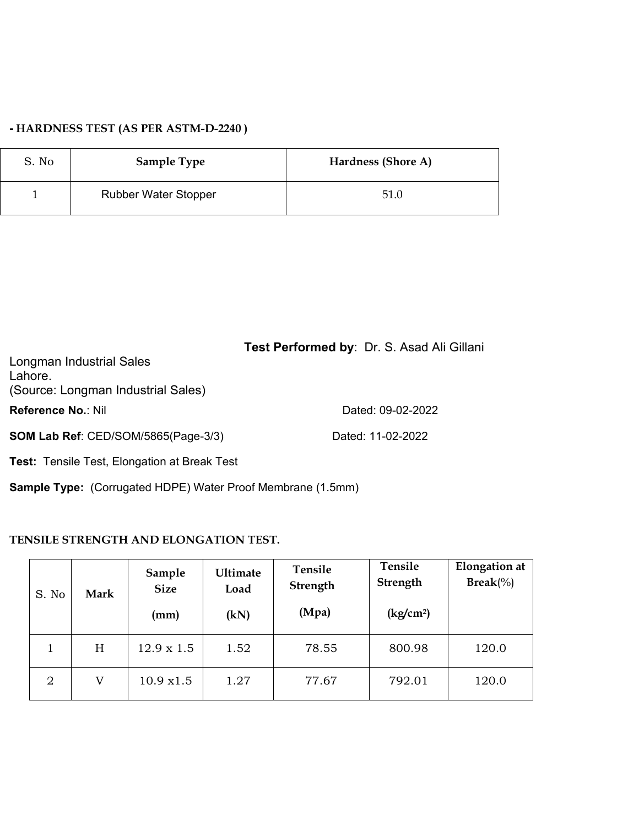## **- HARDNESS TEST (AS PER ASTM-D-2240 )**

| S. No | <b>Sample Type</b>          | Hardness (Shore A) |
|-------|-----------------------------|--------------------|
|       | <b>Rubber Water Stopper</b> | 51.0               |

| Test Performed by: Dr. S. Asad Ali Gillani |
|--------------------------------------------|
|                                            |
|                                            |
|                                            |
| Dated: 09-02-2022                          |
| Dated: 11-02-2022                          |
|                                            |

**Test:** Tensile Test, Elongation at Break Test

**Sample Type:** (Corrugated HDPE) Water Proof Membrane (1.5mm)

#### **TENSILE STRENGTH AND ELONGATION TEST.**

| S. No | Mark | Sample<br><b>Size</b><br>(mm) | <b>Ultimate</b><br>Load<br>(kN) | Tensile<br>Strength<br>(Mpa) | Tensile<br>Strength<br>(kg/cm <sup>2</sup> ) | <b>Elongation</b> at<br>$\text{Break}(\%)$ |  |
|-------|------|-------------------------------|---------------------------------|------------------------------|----------------------------------------------|--------------------------------------------|--|
|       | H    | $12.9 \times 1.5$             | 1.52                            | 78.55                        | 800.98                                       | 120.0                                      |  |
| 2     | V    | 10.9 x1.5                     | 1.27                            | 77.67                        | 792.01                                       | 120.0                                      |  |